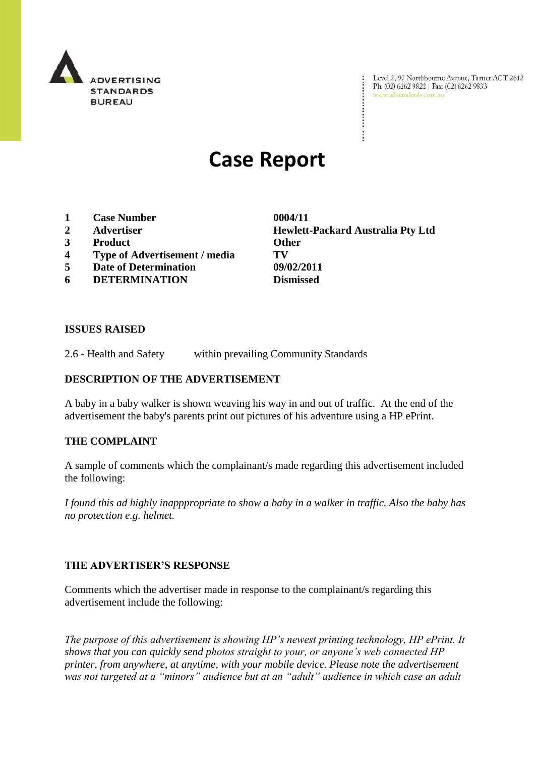

Level 2, 97 Northbourne Avenue, Turner ACT 2612 Level 2, 97 Northbourne Avenue, Turne<br>Ph: (02) 6262 9822 | Fax: (02) 6262 9833 www.adstandards.com.au

# **Case Report**

- **1 Case Number 0004/11**
- 
- **3 Product Other**
- **4 Type of Advertisement / media TV**
- **5 Date of Determination 09/02/2011**
- **6 DETERMINATION Dismissed**

**2 Advertiser Hewlett-Packard Australia Pty Ltd**

÷

#### **ISSUES RAISED**

2.6 - Health and Safety within prevailing Community Standards

### **DESCRIPTION OF THE ADVERTISEMENT**

A baby in a baby walker is shown weaving his way in and out of traffic. At the end of the advertisement the baby's parents print out pictures of his adventure using a HP ePrint.

#### **THE COMPLAINT**

A sample of comments which the complainant/s made regarding this advertisement included the following:

*I found this ad highly inapppropriate to show a baby in a walker in traffic. Also the baby has no protection e.g. helmet.*

#### **THE ADVERTISER'S RESPONSE**

Comments which the advertiser made in response to the complainant/s regarding this advertisement include the following:

*The purpose of this advertisement is showing HP's newest printing technology, HP ePrint. It shows that you can quickly send photos straight to your, or anyone's web connected HP printer, from anywhere, at anytime, with your mobile device. Please note the advertisement was not targeted at a "minors" audience but at an "adult" audience in which case an adult*